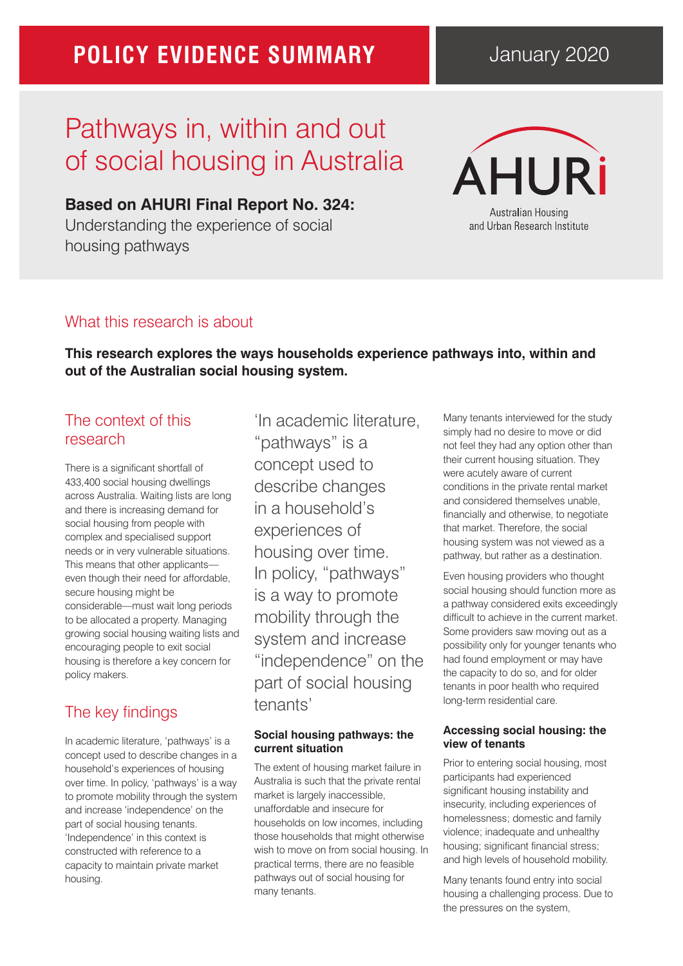## **POLICY EVIDENCE SUMMARY**

## January 2020

# Pathways in, within and out of social housing in Australia

**Based on AHURI Final Report No. 324:**  Understanding the experience of social housing pathways



## What this research is about

**This research explores the ways households experience pathways into, within and out of the Australian social housing system.** 

## The context of this research

There is a significant shortfall of 433,400 social housing dwellings across Australia. Waiting lists are long and there is increasing demand for social housing from people with complex and specialised support needs or in very vulnerable situations. This means that other applicants even though their need for affordable, secure housing might be considerable—must wait long periods to be allocated a property. Managing growing social housing waiting lists and encouraging people to exit social housing is therefore a key concern for policy makers.

## The key findings

In academic literature, 'pathways' is a concept used to describe changes in a household's experiences of housing over time. In policy, 'pathways' is a way to promote mobility through the system and increase 'independence' on the part of social housing tenants. 'Independence' in this context is constructed with reference to a capacity to maintain private market housing.

'In academic literature, "pathways" is a concept used to describe changes in a household's experiences of housing over time. In policy, "pathways" is a way to promote mobility through the system and increase "independence" on the part of social housing tenants'

#### **Social housing pathways: the current situation**

The extent of housing market failure in Australia is such that the private rental market is largely inaccessible, unaffordable and insecure for households on low incomes, including those households that might otherwise wish to move on from social housing. In practical terms, there are no feasible pathways out of social housing for many tenants.

Many tenants interviewed for the study simply had no desire to move or did not feel they had any option other than their current housing situation. They were acutely aware of current conditions in the private rental market and considered themselves unable, financially and otherwise, to negotiate that market. Therefore, the social housing system was not viewed as a pathway, but rather as a destination.

Even housing providers who thought social housing should function more as a pathway considered exits exceedingly difficult to achieve in the current market. Some providers saw moving out as a possibility only for younger tenants who had found employment or may have the capacity to do so, and for older tenants in poor health who required long-term residential care.

#### **Accessing social housing: the view of tenants**

Prior to entering social housing, most participants had experienced significant housing instability and insecurity, including experiences of homelessness; domestic and family violence; inadequate and unhealthy housing; significant financial stress; and high levels of household mobility.

Many tenants found entry into social housing a challenging process. Due to the pressures on the system,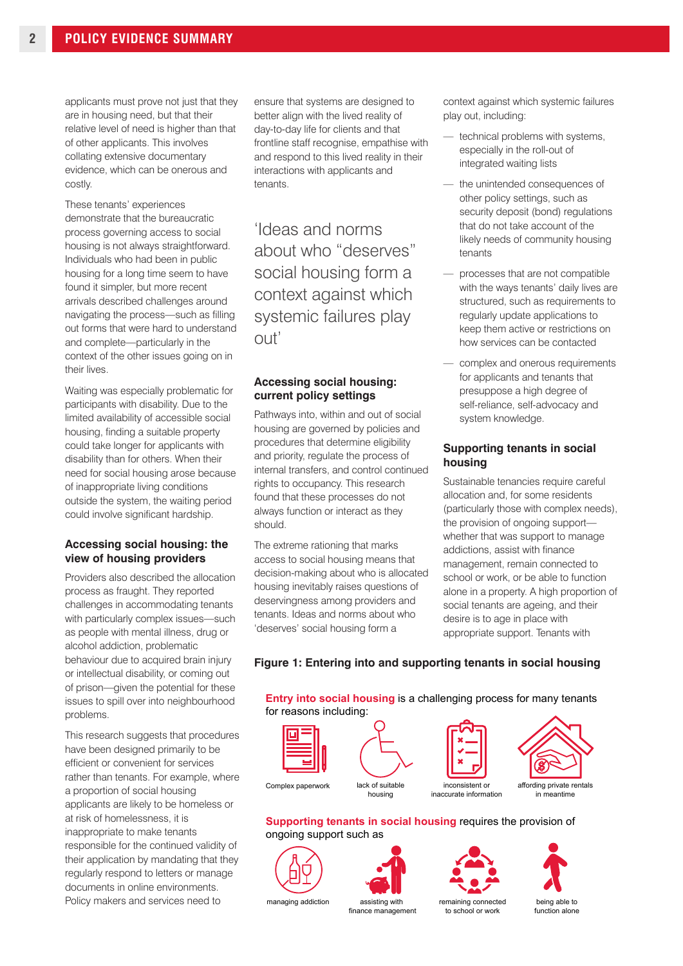applicants must prove not just that they are in housing need, but that their relative level of need is higher than that of other applicants. This involves collating extensive documentary evidence, which can be onerous and costly.

These tenants' experiences demonstrate that the bureaucratic process governing access to social housing is not always straightforward. Individuals who had been in public housing for a long time seem to have found it simpler, but more recent arrivals described challenges around navigating the process—such as filling out forms that were hard to understand and complete—particularly in the context of the other issues going on in their lives.

Waiting was especially problematic for participants with disability. Due to the limited availability of accessible social housing, finding a suitable property could take longer for applicants with disability than for others. When their need for social housing arose because of inappropriate living conditions outside the system, the waiting period could involve significant hardship.

#### **Accessing social housing: the view of housing providers**

Providers also described the allocation process as fraught. They reported challenges in accommodating tenants with particularly complex issues—such as people with mental illness, drug or alcohol addiction, problematic behaviour due to acquired brain injury or intellectual disability, or coming out of prison—given the potential for these issues to spill over into neighbourhood problems.

This research suggests that procedures have been designed primarily to be efficient or convenient for services rather than tenants. For example, where a proportion of social housing applicants are likely to be homeless or at risk of homelessness, it is inappropriate to make tenants responsible for the continued validity of their application by mandating that they regularly respond to letters or manage documents in online environments. Policy makers and services need to

ensure that systems are designed to better align with the lived reality of day-to-day life for clients and that frontline staff recognise, empathise with and respond to this lived reality in their interactions with applicants and tenants.

'Ideas and norms about who "deserves" social housing form a context against which systemic failures play  $\Omega$ ut'

#### **Accessing social housing: current policy settings**

Pathways into, within and out of social housing are governed by policies and procedures that determine eligibility and priority, regulate the process of internal transfers, and control continued rights to occupancy. This research found that these processes do not always function or interact as they should.

The extreme rationing that marks access to social housing means that decision-making about who is allocated housing inevitably raises questions of deservingness among providers and tenants. Ideas and norms about who 'deserves' social housing form a

context against which systemic failures play out, including:

- technical problems with systems, especially in the roll-out of integrated waiting lists
- the unintended consequences of other policy settings, such as security deposit (bond) regulations that do not take account of the likely needs of community housing tenants
- processes that are not compatible with the ways tenants' daily lives are structured, such as requirements to regularly update applications to keep them active or restrictions on how services can be contacted
- complex and onerous requirements for applicants and tenants that presuppose a high degree of self-reliance, self-advocacy and system knowledge.

#### **Supporting tenants in social housing**

Sustainable tenancies require careful allocation and, for some residents (particularly those with complex needs), the provision of ongoing support whether that was support to manage addictions, assist with finance management, remain connected to school or work, or be able to function alone in a property. A high proportion of social tenants are ageing, and their desire is to age in place with appropriate support. Tenants with

#### **Figure 1: Entering into and supporting tenants in social housing**

**Entry into social housing** is a challenging process for many tenants for reasons including:







**Supporting tenants in social housing** requires the provision of ongoing support such as









managing addiction assisting with

finance management

to school or work

being able to function alone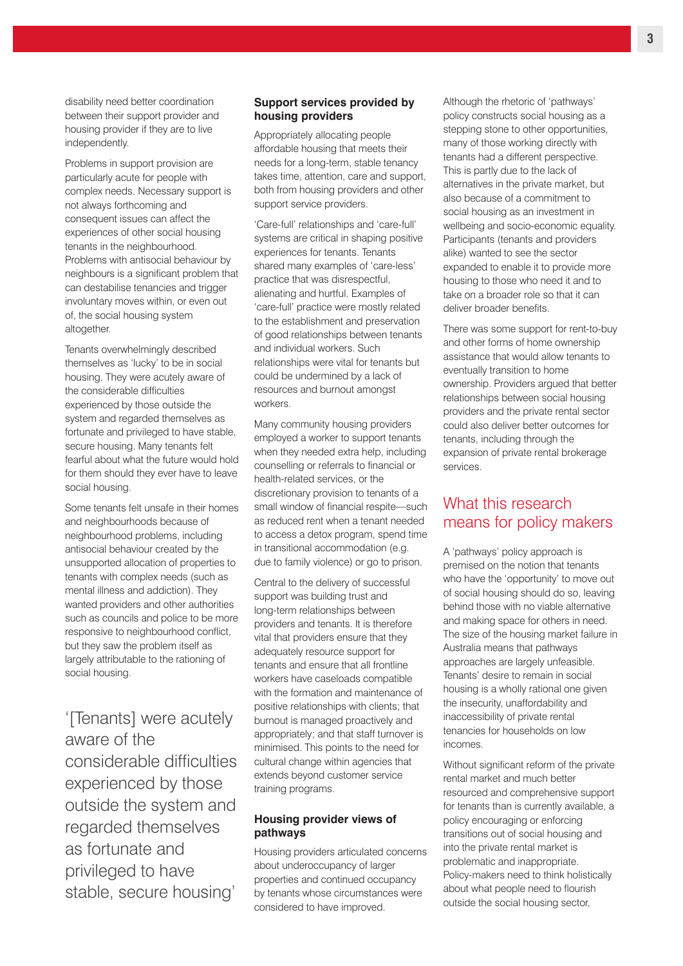disability need better coordination between their support provider and housing provider if they are to live independently.

Problems in support provision are particularly acute for people with complex needs. Necessary support is not always forthcoming and consequent issues can affect the experiences of other social housing tenants in the neighbourhood. Problems with antisocial behaviour by neighbours is a significant problem that can destabilise tenancies and trigger involuntary moves within, or even out of, the social housing system altogether.

Tenants overwhelmingly described themselves as 'lucky' to be in social housing. They were acutely aware of the considerable difficulties experienced by those outside the system and regarded themselves as fortunate and privileged to have stable, secure housing. Many tenants felt fearful about what the future would hold for them should they ever have to leave social housing.

Some tenants felt unsafe in their homes and neighbourhoods because of neighbourhood problems, including antisocial behaviour created by the unsupported allocation of properties to tenants with complex needs (such as mental illness and addiction). They wanted providers and other authorities such as councils and police to be more responsive to neighbourhood conflict, but they saw the problem itself as largely attributable to the rationing of social housing.

'[Tenants] were acutely aware of the considerable difficulties experienced by those outside the system and regarded themselves as fortunate and privileged to have stable, secure housing'

#### **Support services provided by housing providers**

Appropriately allocating people affordable housing that meets their needs for a long-term, stable tenancy takes time, attention, care and support, both from housing providers and other support service providers.

'Care-full' relationships and 'care-full' systems are critical in shaping positive experiences for tenants. Tenants shared many examples of 'care-less' practice that was disrespectful, alienating and hurtful. Examples of 'care-full' practice were mostly related to the establishment and preservation of good relationships between tenants and individual workers. Such relationships were vital for tenants but could be undermined by a lack of resources and burnout amongst workers.

Many community housing providers employed a worker to support tenants when they needed extra help, including counselling or referrals to financial or health-related services, or the discretionary provision to tenants of a small window of financial respite—such as reduced rent when a tenant needed to access a detox program, spend time in transitional accommodation (e.g. due to family violence) or go to prison.

Central to the delivery of successful support was building trust and long-term relationships between providers and tenants. It is therefore vital that providers ensure that they adequately resource support for tenants and ensure that all frontline workers have caseloads compatible with the formation and maintenance of positive relationships with clients; that burnout is managed proactively and appropriately; and that staff turnover is minimised. This points to the need for cultural change within agencies that extends beyond customer service training programs.

#### **Housing provider views of pathways**

Housing providers articulated concerns about underoccupancy of larger properties and continued occupancy by tenants whose circumstances were considered to have improved.

Although the rhetoric of 'pathways' policy constructs social housing as a stepping stone to other opportunities, many of those working directly with tenants had a different perspective. This is partly due to the lack of alternatives in the private market, but also because of a commitment to social housing as an investment in wellbeing and socio-economic equality. Participants (tenants and providers alike) wanted to see the sector expanded to enable it to provide more housing to those who need it and to take on a broader role so that it can deliver broader benefits.

There was some support for rent-to-buy and other forms of home ownership assistance that would allow tenants to eventually transition to home ownership. Providers argued that better relationships between social housing providers and the private rental sector could also deliver better outcomes for tenants, including through the expansion of private rental brokerage services.

### What this research means for policy makers

A 'pathways' policy approach is premised on the notion that tenants who have the 'opportunity' to move out of social housing should do so, leaving behind those with no viable alternative and making space for others in need. The size of the housing market failure in Australia means that pathways approaches are largely unfeasible. Tenants' desire to remain in social housing is a wholly rational one given the insecurity, unaffordability and inaccessibility of private rental tenancies for households on low incomes.

Without significant reform of the private rental market and much better resourced and comprehensive support for tenants than is currently available, a policy encouraging or enforcing transitions out of social housing and into the private rental market is problematic and inappropriate. Policy-makers need to think holistically about what people need to flourish outside the social housing sector,